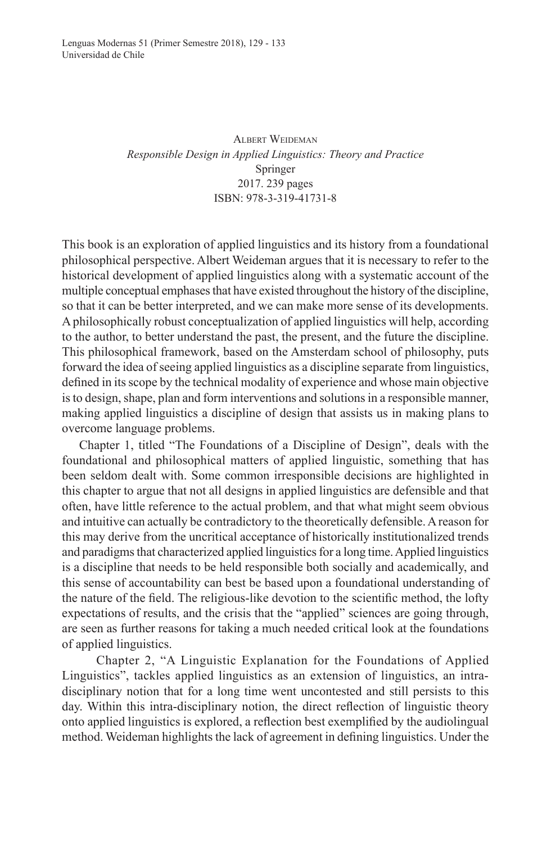ALBERT WEIDEMAN *Responsible Design in Applied Linguistics: Theory and Practice* Springer 2017. 239 pages ISBN: 978-3-319-41731-8

this book is an exploration of applied linguistics and its history from a foundational philosophical perspective. Albert Weideman argues that it is necessary to refer to the historical development of applied linguistics along with a systematic account of the multiple conceptual emphases that have existed throughout the history of the discipline, so that it can be better interpreted, and we can make more sense of its developments. A philosophically robust conceptualization of applied linguistics will help, according to the author, to better understand the past, the present, and the future the discipline. this philosophical framework, based on the Amsterdam school of philosophy, puts forward the idea of seeing applied linguistics as a discipline separate from linguistics, defined in its scope by the technical modality of experience and whose main objective is to design, shape, plan and form interventions and solutions in a responsible manner, making applied linguistics a discipline of design that assists us in making plans to overcome language problems.

Chapter 1, titled "The Foundations of a Discipline of Design", deals with the foundational and philosophical matters of applied linguistic, something that has been seldom dealt with. Some common irresponsible decisions are highlighted in this chapter to argue that not all designs in applied linguistics are defensible and that often, have little reference to the actual problem, and that what might seem obvious and intuitive can actually be contradictory to the theoretically defensible. A reason for this may derive from the uncritical acceptance of historically institutionalized trends and paradigms that characterized applied linguistics for a long time. Applied linguistics is a discipline that needs to be held responsible both socially and academically, and this sense of accountability can best be based upon a foundational understanding of the nature of the field. The religious-like devotion to the scientific method, the lofty expectations of results, and the crisis that the "applied" sciences are going through, are seen as further reasons for taking a much needed critical look at the foundations of applied linguistics.

Chapter 2, "A Linguistic Explanation for the Foundations of Applied Linguistics", tackles applied linguistics as an extension of linguistics, an intradisciplinary notion that for a long time went uncontested and still persists to this day. Within this intra-disciplinary notion, the direct reflection of linguistic theory onto applied linguistics is explored, a reflection best exemplified by the audiolingual method. Weideman highlights the lack of agreement in defining linguistics. Under the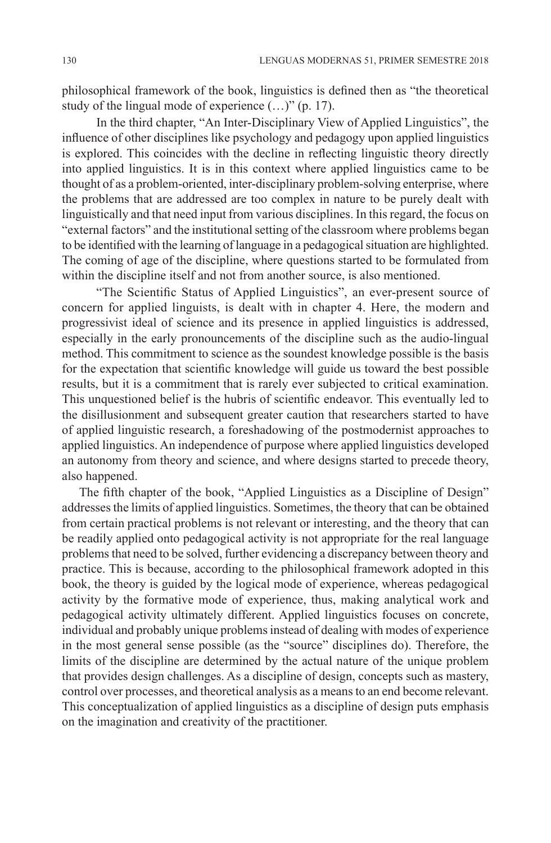philosophical framework of the book, linguistics is defined then as "the theoretical study of the lingual mode of experience (…)" (p. 17).

In the third chapter, "An Inter-Disciplinary View of Applied Linguistics", the influence of other disciplines like psychology and pedagogy upon applied linguistics is explored. This coincides with the decline in reflecting linguistic theory directly into applied linguistics. It is in this context where applied linguistics came to be thought of as a problem-oriented, inter-disciplinary problem-solving enterprise, where the problems that are addressed are too complex in nature to be purely dealt with linguistically and that need input from various disciplines. In this regard, the focus on "external factors" and the institutional setting of the classroom where problems began to be identified with the learning of language in a pedagogical situation are highlighted. The coming of age of the discipline, where questions started to be formulated from within the discipline itself and not from another source, is also mentioned.

"The Scientific Status of Applied Linguistics", an ever-present source of concern for applied linguists, is dealt with in chapter 4. Here, the modern and progressivist ideal of science and its presence in applied linguistics is addressed, especially in the early pronouncements of the discipline such as the audio-lingual method. This commitment to science as the soundest knowledge possible is the basis for the expectation that scientific knowledge will guide us toward the best possible results, but it is a commitment that is rarely ever subjected to critical examination. This unquestioned belief is the hubris of scientific endeavor. This eventually led to the disillusionment and subsequent greater caution that researchers started to have of applied linguistic research, a foreshadowing of the postmodernist approaches to applied linguistics. An independence of purpose where applied linguistics developed an autonomy from theory and science, and where designs started to precede theory, also happened.

The fifth chapter of the book, "Applied Linguistics as a Discipline of Design" addresses the limits of applied linguistics. Sometimes, the theory that can be obtained from certain practical problems is not relevant or interesting, and the theory that can be readily applied onto pedagogical activity is not appropriate for the real language problems that need to be solved, further evidencing a discrepancy between theory and practice. this is because, according to the philosophical framework adopted in this book, the theory is guided by the logical mode of experience, whereas pedagogical activity by the formative mode of experience, thus, making analytical work and pedagogical activity ultimately different. Applied linguistics focuses on concrete, individual and probably unique problems instead of dealing with modes of experience in the most general sense possible (as the "source" disciplines do). Therefore, the limits of the discipline are determined by the actual nature of the unique problem that provides design challenges. As a discipline of design, concepts such as mastery, control over processes, and theoretical analysis as a means to an end become relevant. this conceptualization of applied linguistics as a discipline of design puts emphasis on the imagination and creativity of the practitioner.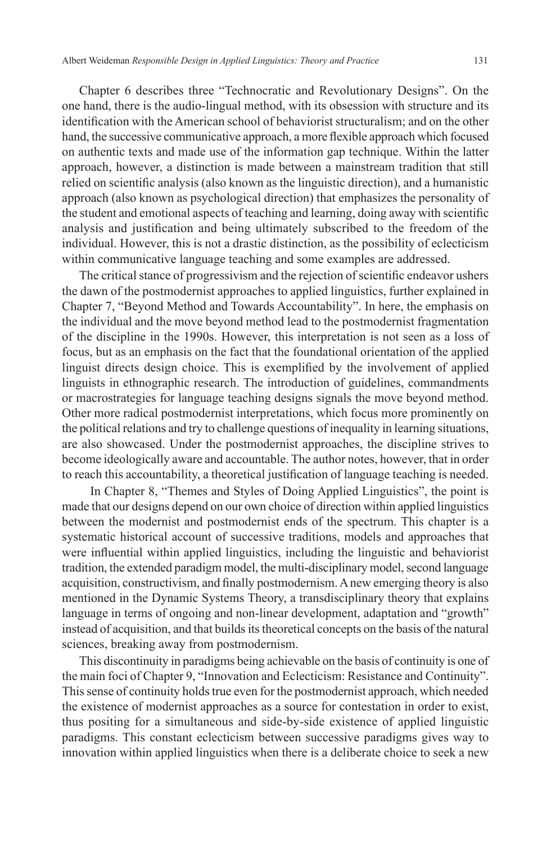Chapter 6 describes three "technocratic and Revolutionary Designs". On the one hand, there is the audio-lingual method, with its obsession with structure and its identification with the American school of behaviorist structuralism; and on the other hand, the successive communicative approach, a more flexible approach which focused on authentic texts and made use of the information gap technique. Within the latter approach, however, a distinction is made between a mainstream tradition that still relied on scientific analysis (also known as the linguistic direction), and a humanistic approach (also known as psychological direction) that emphasizes the personality of the student and emotional aspects of teaching and learning, doing away with scientific analysis and justification and being ultimately subscribed to the freedom of the individual. However, this is not a drastic distinction, as the possibility of eclecticism within communicative language teaching and some examples are addressed.

The critical stance of progressivism and the rejection of scientific endeavor ushers the dawn of the postmodernist approaches to applied linguistics, further explained in Chapter 7, "Beyond Method and Towards Accountability". In here, the emphasis on the individual and the move beyond method lead to the postmodernist fragmentation of the discipline in the 1990s. However, this interpretation is not seen as a loss of focus, but as an emphasis on the fact that the foundational orientation of the applied linguist directs design choice. This is exemplified by the involvement of applied linguists in ethnographic research. The introduction of guidelines, commandments or macrostrategies for language teaching designs signals the move beyond method. Other more radical postmodernist interpretations, which focus more prominently on the political relations and try to challenge questions of inequality in learning situations, are also showcased. Under the postmodernist approaches, the discipline strives to become ideologically aware and accountable. the author notes, however, that in order to reach this accountability, a theoretical justification of language teaching is needed.

In Chapter 8, "Themes and Styles of Doing Applied Linguistics", the point is made that our designs depend on our own choice of direction within applied linguistics between the modernist and postmodernist ends of the spectrum. this chapter is a systematic historical account of successive traditions, models and approaches that were influential within applied linguistics, including the linguistic and behaviorist tradition, the extended paradigm model, the multi-disciplinary model, second language acquisition, constructivism, and finally postmodernism. A new emerging theory is also mentioned in the Dynamic Systems Theory, a transdisciplinary theory that explains language in terms of ongoing and non-linear development, adaptation and "growth" instead of acquisition, and that builds its theoretical concepts on the basis of the natural sciences, breaking away from postmodernism.

This discontinuity in paradigms being achievable on the basis of continuity is one of the main foci of Chapter 9, "Innovation and Eclecticism: Resistance and Continuity". This sense of continuity holds true even for the postmodernist approach, which needed the existence of modernist approaches as a source for contestation in order to exist, thus positing for a simultaneous and side-by-side existence of applied linguistic paradigms. this constant eclecticism between successive paradigms gives way to innovation within applied linguistics when there is a deliberate choice to seek a new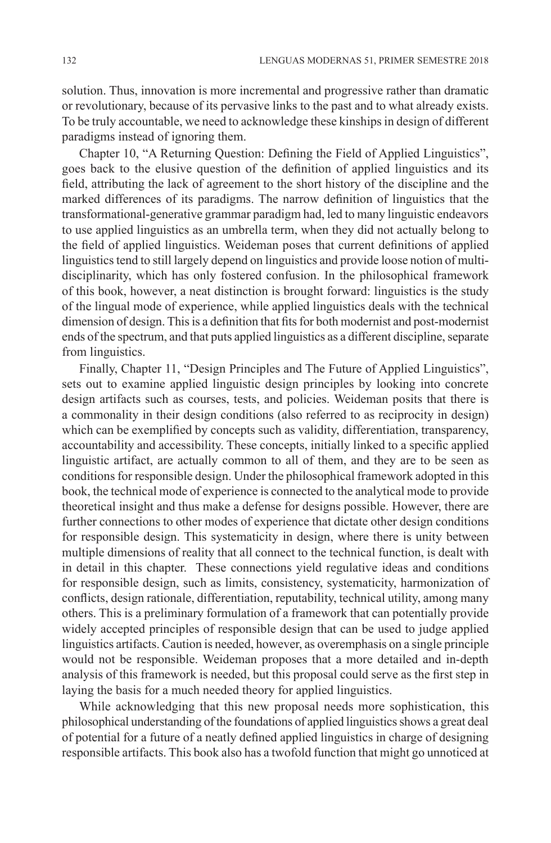solution. thus, innovation is more incremental and progressive rather than dramatic or revolutionary, because of its pervasive links to the past and to what already exists. to be truly accountable, we need to acknowledge these kinships in design of different paradigms instead of ignoring them.

Chapter 10, "A Returning Question: Defining the Field of Applied Linguistics", goes back to the elusive question of the definition of applied linguistics and its field, attributing the lack of agreement to the short history of the discipline and the marked differences of its paradigms. The narrow definition of linguistics that the transformational-generative grammar paradigm had, led to many linguistic endeavors to use applied linguistics as an umbrella term, when they did not actually belong to the field of applied linguistics. Weideman poses that current definitions of applied linguistics tend to still largely depend on linguistics and provide loose notion of multidisciplinarity, which has only fostered confusion. In the philosophical framework of this book, however, a neat distinction is brought forward: linguistics is the study of the lingual mode of experience, while applied linguistics deals with the technical dimension of design. This is a definition that fits for both modernist and post-modernist ends of the spectrum, and that puts applied linguistics as a different discipline, separate from linguistics.

Finally, Chapter 11, "Design Principles and The Future of Applied Linguistics", sets out to examine applied linguistic design principles by looking into concrete design artifacts such as courses, tests, and policies. Weideman posits that there is a commonality in their design conditions (also referred to as reciprocity in design) which can be exemplified by concepts such as validity, differentiation, transparency, accountability and accessibility. These concepts, initially linked to a specific applied linguistic artifact, are actually common to all of them, and they are to be seen as conditions for responsible design. Under the philosophical framework adopted in this book, the technical mode of experience is connected to the analytical mode to provide theoretical insight and thus make a defense for designs possible. However, there are further connections to other modes of experience that dictate other design conditions for responsible design. This systematicity in design, where there is unity between multiple dimensions of reality that all connect to the technical function, is dealt with in detail in this chapter. These connections yield regulative ideas and conditions for responsible design, such as limits, consistency, systematicity, harmonization of conflicts, design rationale, differentiation, reputability, technical utility, among many others. This is a preliminary formulation of a framework that can potentially provide widely accepted principles of responsible design that can be used to judge applied linguistics artifacts. Caution is needed, however, as overemphasis on a single principle would not be responsible. Weideman proposes that a more detailed and in-depth analysis of this framework is needed, but this proposal could serve as the first step in laying the basis for a much needed theory for applied linguistics.

While acknowledging that this new proposal needs more sophistication, this philosophical understanding of the foundations of applied linguistics shows a great deal of potential for a future of a neatly defined applied linguistics in charge of designing responsible artifacts. This book also has a twofold function that might go unnoticed at